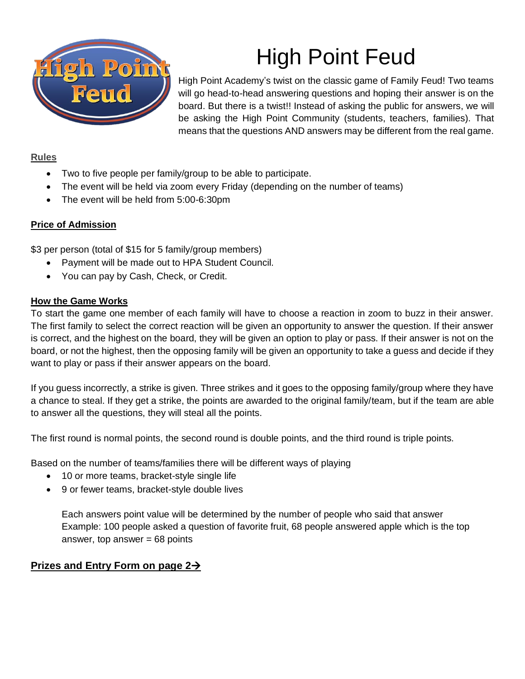

# High Point Feud

High Point Academy's twist on the classic game of Family Feud! Two teams will go head-to-head answering questions and hoping their answer is on the board. But there is a twist!! Instead of asking the public for answers, we will be asking the High Point Community (students, teachers, families). That means that the questions AND answers may be different from the real game.

### **Rules**

- Two to five people per family/group to be able to participate.
- The event will be held via zoom every Friday (depending on the number of teams)
- The event will be held from 5:00-6:30pm

#### **Price of Admission**

\$3 per person (total of \$15 for 5 family/group members)

- Payment will be made out to HPA Student Council.
- You can pay by Cash, Check, or Credit.

#### **How the Game Works**

To start the game one member of each family will have to choose a reaction in zoom to buzz in their answer. The first family to select the correct reaction will be given an opportunity to answer the question. If their answer is correct, and the highest on the board, they will be given an option to play or pass. If their answer is not on the board, or not the highest, then the opposing family will be given an opportunity to take a guess and decide if they want to play or pass if their answer appears on the board.

If you guess incorrectly, a strike is given. Three strikes and it goes to the opposing family/group where they have a chance to steal. If they get a strike, the points are awarded to the original family/team, but if the team are able to answer all the questions, they will steal all the points.

The first round is normal points, the second round is double points, and the third round is triple points.

Based on the number of teams/families there will be different ways of playing

- 10 or more teams, bracket-style single life
- 9 or fewer teams, bracket-style double lives

Each answers point value will be determined by the number of people who said that answer Example: 100 people asked a question of favorite fruit, 68 people answered apple which is the top answer, top answer  $= 68$  points

## **Prizes and Entry Form on page 2**→